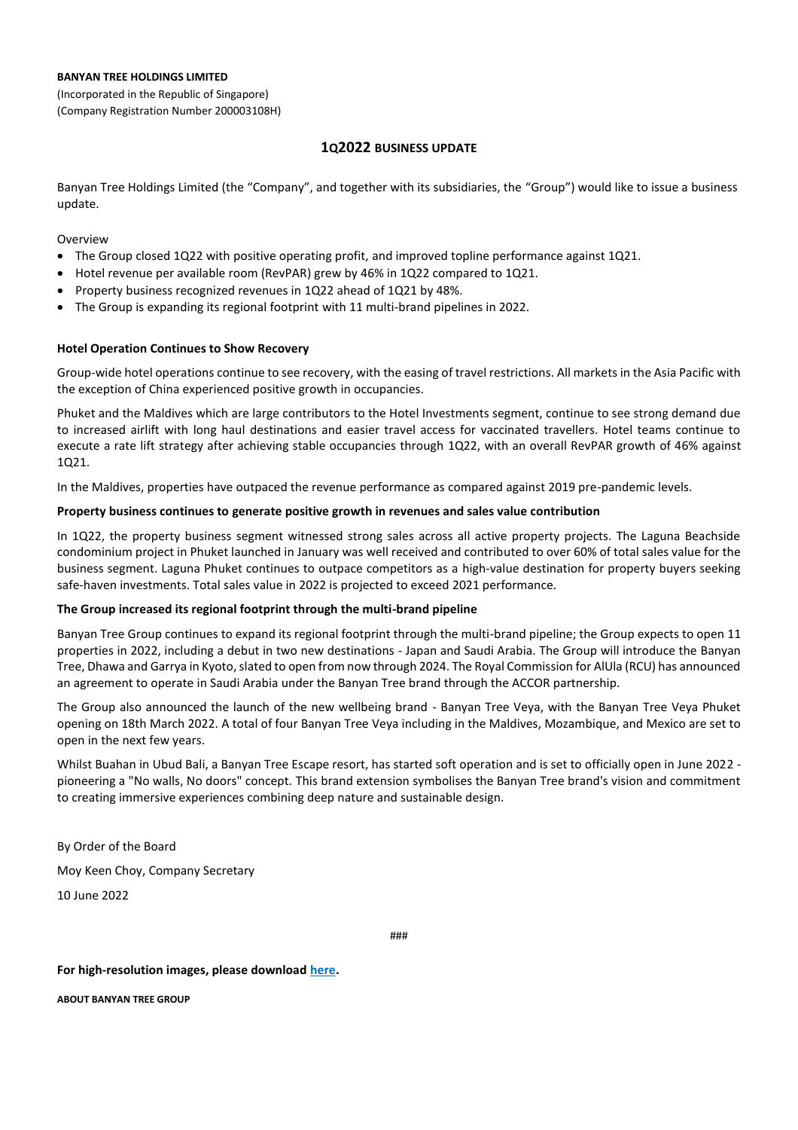#### **BANYAN TREE HOLDINGS LIMITED**

(Incorporated in the Republic of Singapore) (Company Registration Number 200003108H)

# **1Q2022 BUSINESS UPDATE**

Banyan Tree Holdings Limited (the "Company", and together with its subsidiaries, the "Group") would like to issue a business update.

Overview

- The Group closed 1Q22 with positive operating profit, and improved topline performance against 1Q21.
- Hotel revenue per available room (RevPAR) grew by 46% in 1Q22 compared to 1Q21.
- Property business recognized revenues in 1Q22 ahead of 1Q21 by 48%.
- The Group is expanding its regional footprint with 11 multi-brand pipelines in 2022.

## **Hotel Operation Continues to Show Recovery**

Group-wide hotel operations continue to see recovery, with the easing of travel restrictions. All markets in the Asia Pacific with the exception of China experienced positive growth in occupancies.

Phuket and the Maldives which are large contributors to the Hotel Investments segment, continue to see strong demand due to increased airlift with long haul destinations and easier travel access for vaccinated travellers. Hotel teams continue to execute a rate lift strategy after achieving stable occupancies through 1Q22, with an overall RevPAR growth of 46% against 1Q21.

In the Maldives, properties have outpaced the revenue performance as compared against 2019 pre-pandemic levels.

## **Property business continues to generate positive growth in revenues and sales value contribution**

In 1Q22, the property business segment witnessed strong sales across all active property projects. The Laguna Beachside condominium project in Phuket launched in January was well received and contributed to over 60% of total sales value for the business segment. Laguna Phuket continues to outpace competitors as a high-value destination for property buyers seeking safe-haven investments. Total sales value in 2022 is projected to exceed 2021 performance.

## **The Group increased its regional footprint through the multi-brand pipeline**

Banyan Tree Group continues to expand its regional footprint through the multi-brand pipeline; the Group expects to open 11 properties in 2022, including a debut in two new destinations - Japan and Saudi Arabia. The Group will introduce the Banyan Tree, Dhawa and Garrya in Kyoto, slated to open from now through 2024. The Royal Commission for AlUla (RCU) has announced an agreement to operate in Saudi Arabia under the Banyan Tree brand through the ACCOR partnership.

The Group also announced the launch of the new wellbeing brand - Banyan Tree Veya, with the Banyan Tree Veya Phuket opening on 18th March 2022. A total of four Banyan Tree Veya including in the Maldives, Mozambique, and Mexico are set to open in the next few years.

Whilst Buahan in Ubud Bali, a Banyan Tree Escape resort, has started soft operation and is set to officially open in June 2022 pioneering a "No walls, No doors" concept. This brand extension symbolises the Banyan Tree brand's vision and commitment to creating immersive experiences combining deep nature and sustainable design.

By Order of the Board Moy Keen Choy, Company Secretary

10 June 2022

###

## **For high-resolution images, please download [here.](https://www.dropbox.com/sh/2tpsv750pr4xv1t/AAACNtf8BneQDdMDzEKVr-Hja?dl=1)**

**ABOUT BANYAN TREE GROUP**